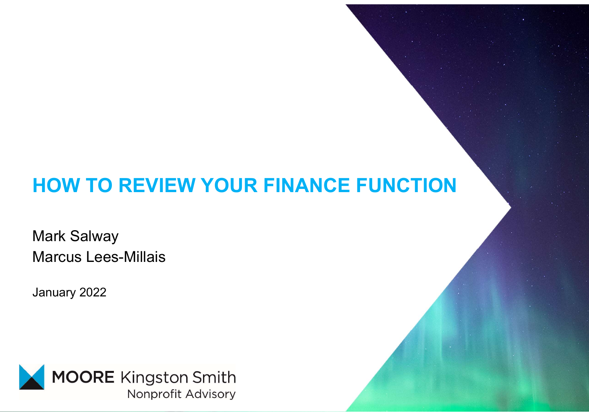#### HOW TO REVIEW YOUR FINANCE FUNCTION

Mark Salway Marcus Lees-Millais

January 2022

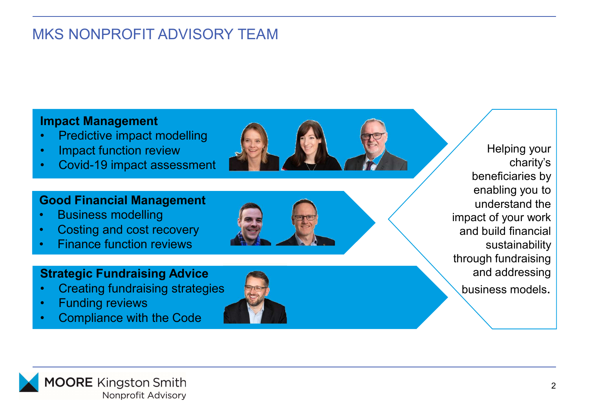### MKS NONPROFIT ADVISORY TEAM VEN MONTROFIT ADVISORY TEAM MKS NONPROFIT ADVISORY TEAM MKS NONPROFIT ADVISORY TEAM<br>
Impact Management<br>
• Predictive impact modelling<br>
• Covid-19 impact assessment<br>
Good Financial Management

#### Impact Management

- 
- 
- 

#### Good Financial Management

- 
- 
- 

#### Strategic Fundraising Advice

- 
- 
- 



Helping your charity's beneficiaries by Helping your<br>
charity's<br>
beneficiaries by<br>
enabling you to<br>
understand the<br>
act of your work<br>
d build financial understand the impact of your work and build financial sustainability through fundraising and addressing business models.

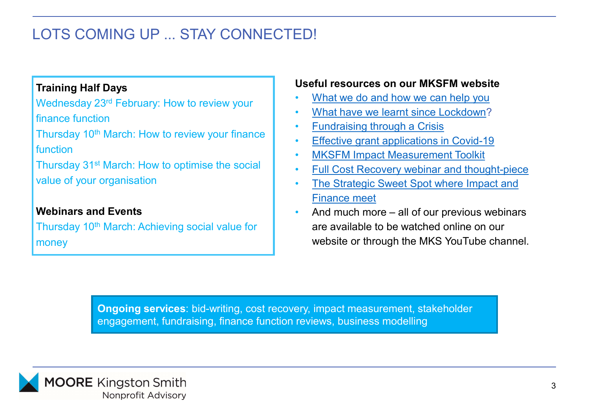#### LOTS COMING UP ... STAY CONNECTED!

#### Training Half Days

Wednesday 23rd February: How to review your finance function

Thursday  $10<sup>th</sup>$  March: How to review your finance  $\begin{bmatrix} 1 & 1 \end{bmatrix}$ function

Thursday 31<sup>st</sup> March: How to optimise the social | . value of your organisation

#### Webinars and Events

Thursday 10<sup>th</sup> March: Achieving social value for money

#### Useful resources on our MKSFM website

- What we do and how we can help you
- What have we learnt since Lockdown?
- Fundraising through a Crisis
- **Effective grant applications in Covid-19**
- MKSFM Impact Measurement Toolkit
- Full Cost Recovery webinar and thought-piece
- The Strategic Sweet Spot where Impact and Finance meet
- **ED!**<br>
Useful resources on our MKSFM website<br>
 What we do and how we can help you<br>
 What have we learnt since Lockdown?<br>
 Endraising through a Crisis<br>
 Effective grant applications in Covid-19<br>
 MKSFM Impact Measurem are available to be watched online on our website or through the MKS YouTube channel.

Ongoing services: bid-writing, cost recovery, impact measurement, stakeholder engagement, fundraising, finance function reviews, business modelling

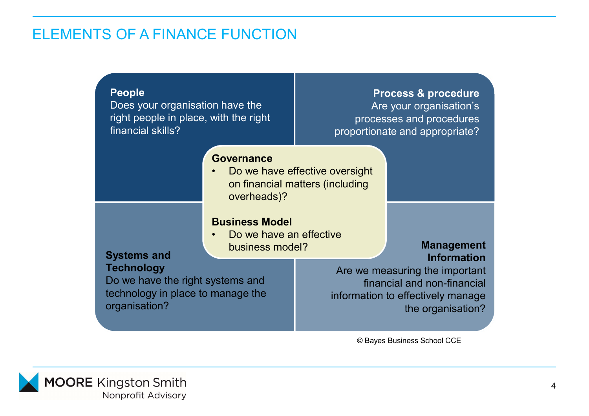#### ELEMENTS OF A FINANCE FUNCTION

| <b>TS OF A FINANCE FUNCTION</b>                                                           |                                         |
|-------------------------------------------------------------------------------------------|-----------------------------------------|
| <b>People</b>                                                                             | <b>Process &amp; procedure</b>          |
| Does your organisation have the                                                           | Are your organisation's                 |
| right people in place, with the right                                                     | processes and procedures                |
| financial skills?                                                                         | proportionate and appropriate?          |
| <b>Governance</b>                                                                         | Do we have effective oversight          |
| overheads)?                                                                               | on financial matters (including         |
| <b>Business Model</b><br>Do we have an effective<br>business model?<br><b>Systems and</b> | <b>Management</b><br><b>Information</b> |
| <b>Technology</b>                                                                         | Are we measuring the important          |
| Do we have the right systems and                                                          | financial and non-financial             |
| technology in place to manage the                                                         | information to effectively manage       |
| organisation?                                                                             | the organisation?                       |

© Bayes Business School CCE

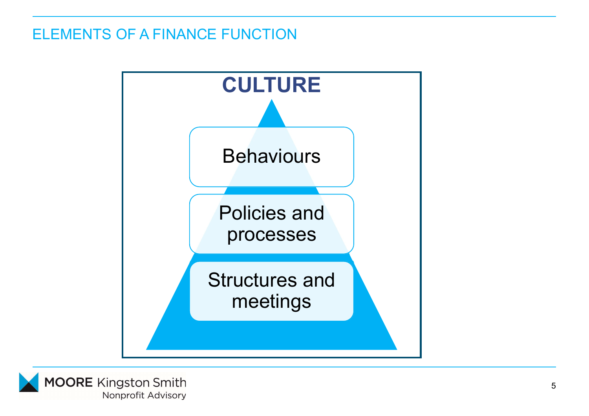#### ELEMENTS OF A FINANCE FUNCTION



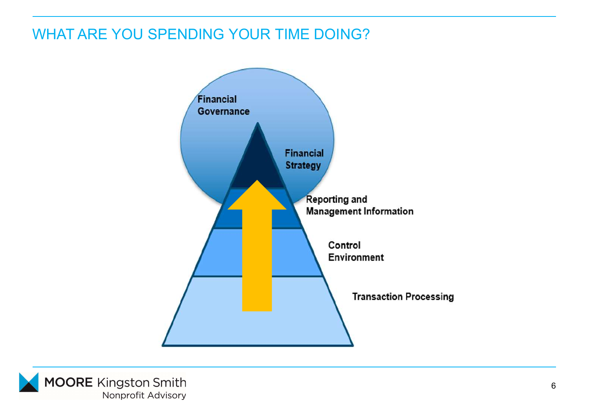#### WHAT ARE YOU SPENDING YOUR TIME DOING?



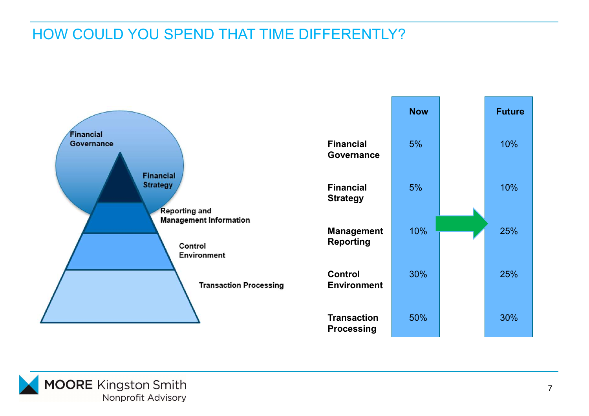#### HOW COULD YOU SPEND THAT TIME DIFFERENTLY?



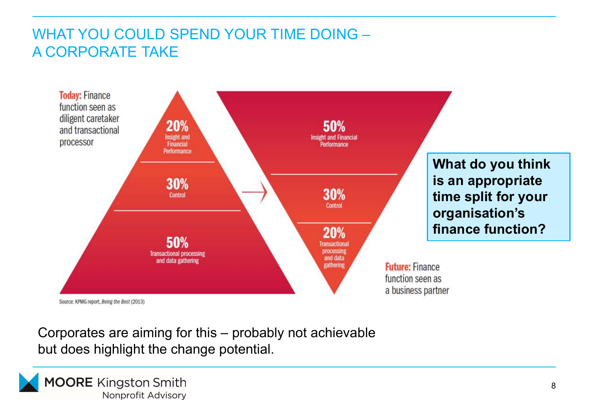#### WHAT YOU COULD SPEND YOUR TIME DOING – A CORPORATE TAKE



but does highlight the change potential.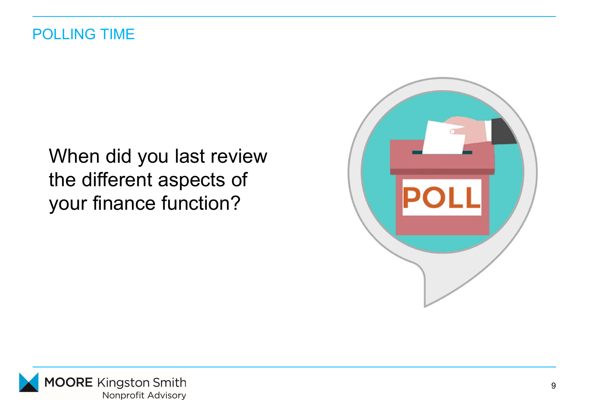#### When did you last review the different aspects of your finance function?



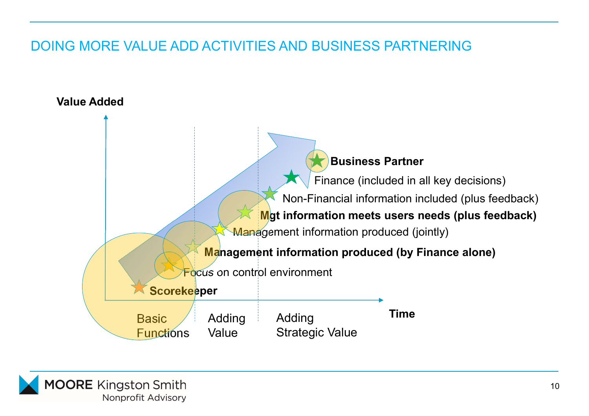#### DOING MORE VALUE ADD ACTIVITIES AND BUSINESS PARTNERING



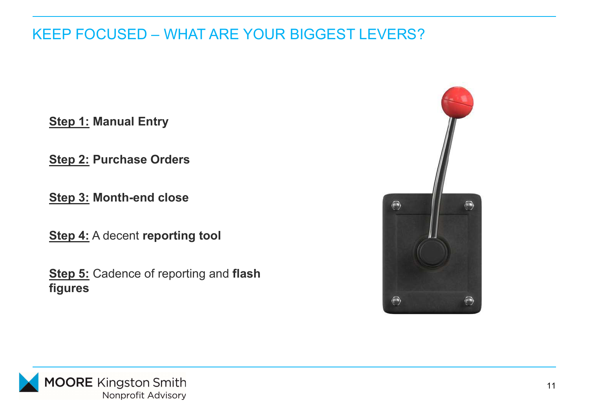## KEEP FOCUSED – WHAT ARE YOUR BIGGEST LEVERS? EEP FOCUSED – WHAT ARE YOUR BIGG<br>Step 1: Manual Entry<br>Step 2: Purchase Orders EEP FOCUSED – WHAT ARE YOUR BIGG<br>Step 1: Manual Entry<br>Step 2: Purchase Orders<br>Step 3: Month-end close EEP FOCUSED – WHAT ARE YOUR BIGC<br>Step 1: Manual Entry<br>Step 2: Purchase Orders<br>Step 3: Month-end close<br>Step 4: A decent reporting tool

**Step 4:** A decent reporting tool

**Step 5:** Cadence of reporting and flash figures



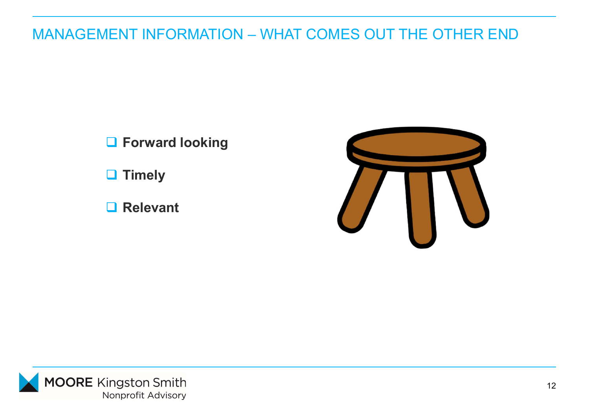# MANAGEMENT INFORMATION – WHAT COMES OUT THE OTHER END

**O** Forward looking

 $\Box$  Timely

**□ Relevant**